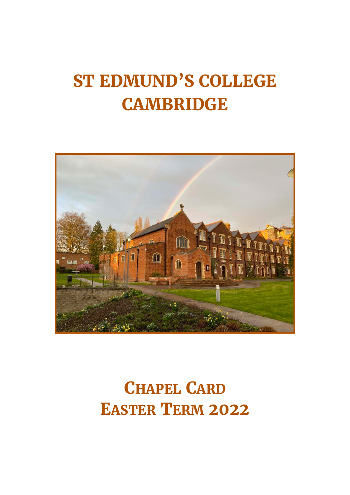# **ST EDMUND'S COLLEGE CAMBRIDGE**



# **CHAPEL CARD EASTER TERM 2022**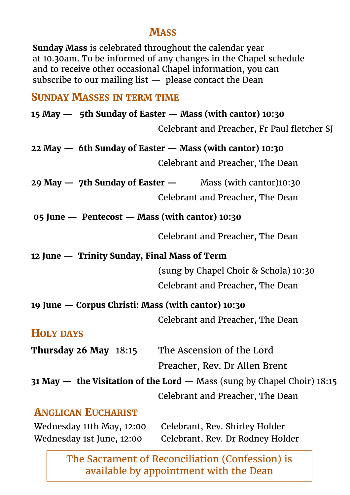#### **MASS**

**Sunday Mass** is celebrated throughout the calendar year at 10.30am. To be informed of any changes in the Chapel schedule and to receive other occasional Chapel information, you can subscribe to our mailing list  $-$  please contact the Dean

#### **SUNDAY MASSES IN TERM TIME**

|                                                    | 15 May - 5th Sunday of Easter - Mass (with cantor) 10:30                       |
|----------------------------------------------------|--------------------------------------------------------------------------------|
|                                                    | Celebrant and Preacher, Fr Paul fletcher SJ                                    |
|                                                    | 22 May - 6th Sunday of Easter - Mass (with cantor) 10:30                       |
|                                                    | Celebrant and Preacher, The Dean                                               |
|                                                    | 29 May $-$ 7th Sunday of Easter $-$ Mass (with cantor)10:30                    |
|                                                    | Celebrant and Preacher, The Dean                                               |
| 05 June — Pentecost — Mass (with cantor) 10:30     |                                                                                |
|                                                    | Celebrant and Preacher, The Dean                                               |
| 12 June — Trinity Sunday, Final Mass of Term       |                                                                                |
|                                                    | (sung by Chapel Choir & Schola) 10:30                                          |
|                                                    | Celebrant and Preacher, The Dean                                               |
| 19 June — Corpus Christi: Mass (with cantor) 10:30 |                                                                                |
|                                                    | Celebrant and Preacher, The Dean                                               |
| <b>HOLY DAYS</b>                                   |                                                                                |
| Thursday 26 May $18:15$                            | The Ascension of the Lord                                                      |
|                                                    | Preacher, Rev. Dr Allen Brent                                                  |
|                                                    | <b>31 May — the Visitation of the Lord — Mass (sung by Chapel Choir) 18:15</b> |
|                                                    | Celebrant and Preacher, The Dean                                               |
| <b>ANGLICAN EUCHARIST</b>                          |                                                                                |
| Wednesday 11th May, 12:00                          | Celebrant, Rev. Shirley Holder                                                 |
| Wednesday 1st June, 12:00                          | Celebrant, Rev. Dr Rodney Holder                                               |

The Sacrament of Reconciliation (Confession) is available by appointment with the Dean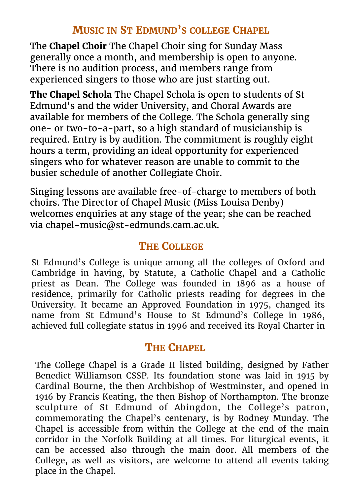## **MUSIC IN ST EDMUND'S COLLEGE CHAPEL**

The **Chapel Choir** The Chapel Choir sing for Sunday Mass generally once a month, and membership is open to anyone. There is no audition process, and members range from experienced singers to those who are just starting out.

**The Chapel Schola** The Chapel Schola is open to students of St Edmund's and the wider University, and Choral Awards are available for members of the College. The Schola generally sing one- or two-to-a-part, so a high standard of musicianship is required. Entry is by audition. The commitment is roughly eight hours a term, providing an ideal opportunity for experienced singers who for whatever reason are unable to commit to the busier schedule of another Collegiate Choir.

Singing lessons are available free-of-charge to members of both choirs. The Director of Chapel Music (Miss Louisa Denby) welcomes enquiries at any stage of the year; she can be reached via chapel-music@st-edmunds.cam.ac.uk.

# **THE COLLEGE**

St Edmund's College is unique among all the colleges of Oxford and Cambridge in having, by Statute, a Catholic Chapel and a Catholic priest as Dean. The College was founded in 1896 as a house of residence, primarily for Catholic priests reading for degrees in the University. It became an Approved Foundation in 1975, changed its name from St Edmund's House to St Edmund's College in 1986, achieved full collegiate status in 1996 and received its Royal Charter in

# **THE CHAPEL**

The College Chapel is a Grade II listed building, designed by Father Benedict Williamson CSSP. Its foundation stone was laid in 1915 by Cardinal Bourne, the then Archbishop of Westminster, and opened in 1916 by Francis Keating, the then Bishop of Northampton. The bronze sculpture of St Edmund of Abingdon, the College's patron, commemorating the Chapel's centenary, is by Rodney Munday. The Chapel is accessible from within the College at the end of the main corridor in the Norfolk Building at all times. For liturgical events, it can be accessed also through the main door. All members of the College, as well as visitors, are welcome to attend all events taking place in the Chapel.